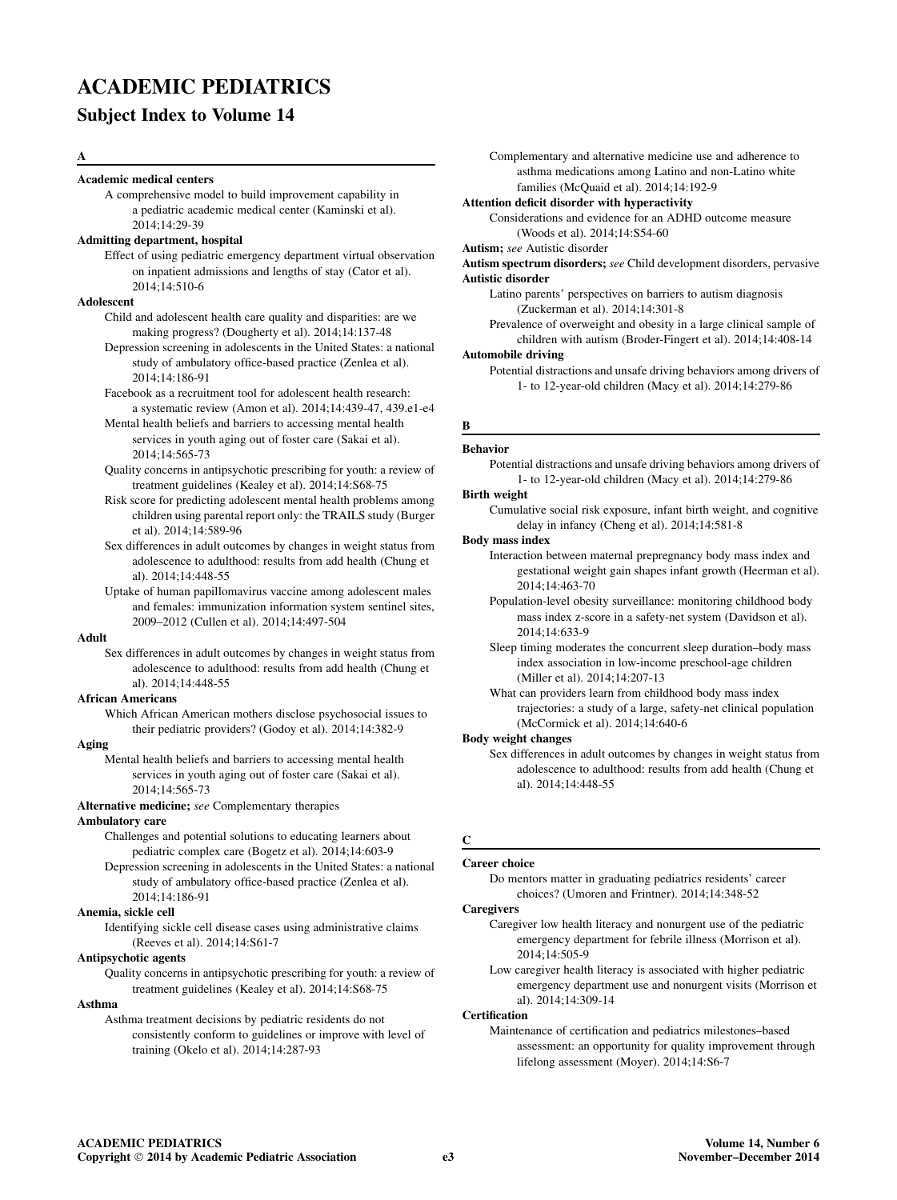# ACADEMIC PEDIATRICS

# Subject Index to Volume 14

### A

### Academic medical centers

A comprehensive model to build improvement capability in a pediatric academic medical center (Kaminski et al). 2014;14:29-39

### Admitting department, hospital

Effect of using pediatric emergency department virtual observation on inpatient admissions and lengths of stay (Cator et al). 2014;14:510-6

## **Adolescent**

Child and adolescent health care quality and disparities: are we making progress? (Dougherty et al). 2014;14:137-48

Depression screening in adolescents in the United States: a national study of ambulatory office-based practice (Zenlea et al). 2014;14:186-91

Facebook as a recruitment tool for adolescent health research: a systematic review (Amon et al). 2014;14:439-47, 439.e1-e4

Mental health beliefs and barriers to accessing mental health services in youth aging out of foster care (Sakai et al). 2014;14:565-73

Quality concerns in antipsychotic prescribing for youth: a review of treatment guidelines (Kealey et al). 2014;14:S68-75

Risk score for predicting adolescent mental health problems among children using parental report only: the TRAILS study (Burger et al). 2014;14:589-96

Sex differences in adult outcomes by changes in weight status from adolescence to adulthood: results from add health (Chung et al). 2014;14:448-55

Uptake of human papillomavirus vaccine among adolescent males and females: immunization information system sentinel sites, 2009–2012 (Cullen et al). 2014;14:497-504

## Adult

Sex differences in adult outcomes by changes in weight status from adolescence to adulthood: results from add health (Chung et al). 2014;14:448-55

## African Americans

Which African American mothers disclose psychosocial issues to their pediatric providers? (Godoy et al). 2014;14:382-9

## Aging

Mental health beliefs and barriers to accessing mental health services in youth aging out of foster care (Sakai et al). 2014;14:565-73

### Alternative medicine; see Complementary therapies

### Ambulatory care

Challenges and potential solutions to educating learners about pediatric complex care (Bogetz et al). 2014;14:603-9

Depression screening in adolescents in the United States: a national study of ambulatory office-based practice (Zenlea et al). 2014;14:186-91

### Anemia, sickle cell

Identifying sickle cell disease cases using administrative claims (Reeves et al). 2014;14:S61-7

### Antipsychotic agents

Quality concerns in antipsychotic prescribing for youth: a review of treatment guidelines (Kealey et al). 2014;14:S68-75

### Asthma

Asthma treatment decisions by pediatric residents do not consistently conform to guidelines or improve with level of training (Okelo et al). 2014;14:287-93

Complementary and alternative medicine use and adherence to asthma medications among Latino and non-Latino white families (McQuaid et al). 2014;14:192-9

### Attention deficit disorder with hyperactivity

Considerations and evidence for an ADHD outcome measure (Woods et al). 2014;14:S54-60

## Autism; see Autistic disorder

Autism spectrum disorders; see Child development disorders, pervasive Autistic disorder

Latino parents' perspectives on barriers to autism diagnosis (Zuckerman et al). 2014;14:301-8

Prevalence of overweight and obesity in a large clinical sample of children with autism (Broder-Fingert et al). 2014;14:408-14

## Automobile driving

Potential distractions and unsafe driving behaviors among drivers of 1- to 12-year-old children (Macy et al). 2014;14:279-86

# B

## Behavior

Potential distractions and unsafe driving behaviors among drivers of 1- to 12-year-old children (Macy et al). 2014;14:279-86

Birth weight Cumulative social risk exposure, infant birth weight, and cognitive delay in infancy (Cheng et al). 2014;14:581-8

### Body mass index

- Interaction between maternal prepregnancy body mass index and gestational weight gain shapes infant growth (Heerman et al). 2014;14:463-70
- Population-level obesity surveillance: monitoring childhood body mass index z-score in a safety-net system (Davidson et al). 2014;14:633-9

Sleep timing moderates the concurrent sleep duration–body mass index association in low-income preschool-age children (Miller et al). 2014;14:207-13

What can providers learn from childhood body mass index trajectories: a study of a large, safety-net clinical population (McCormick et al). 2014;14:640-6

#### Body weight changes

Sex differences in adult outcomes by changes in weight status from adolescence to adulthood: results from add health (Chung et al). 2014;14:448-55

## C

### Career choice

Do mentors matter in graduating pediatrics residents' career choices? (Umoren and Frintner). 2014;14:348-52

### **Caregivers**

- Caregiver low health literacy and nonurgent use of the pediatric emergency department for febrile illness (Morrison et al). 2014;14:505-9
- Low caregiver health literacy is associated with higher pediatric emergency department use and nonurgent visits (Morrison et al). 2014;14:309-14

## **Certification**

Maintenance of certification and pediatrics milestones–based assessment: an opportunity for quality improvement through lifelong assessment (Moyer). 2014;14:S6-7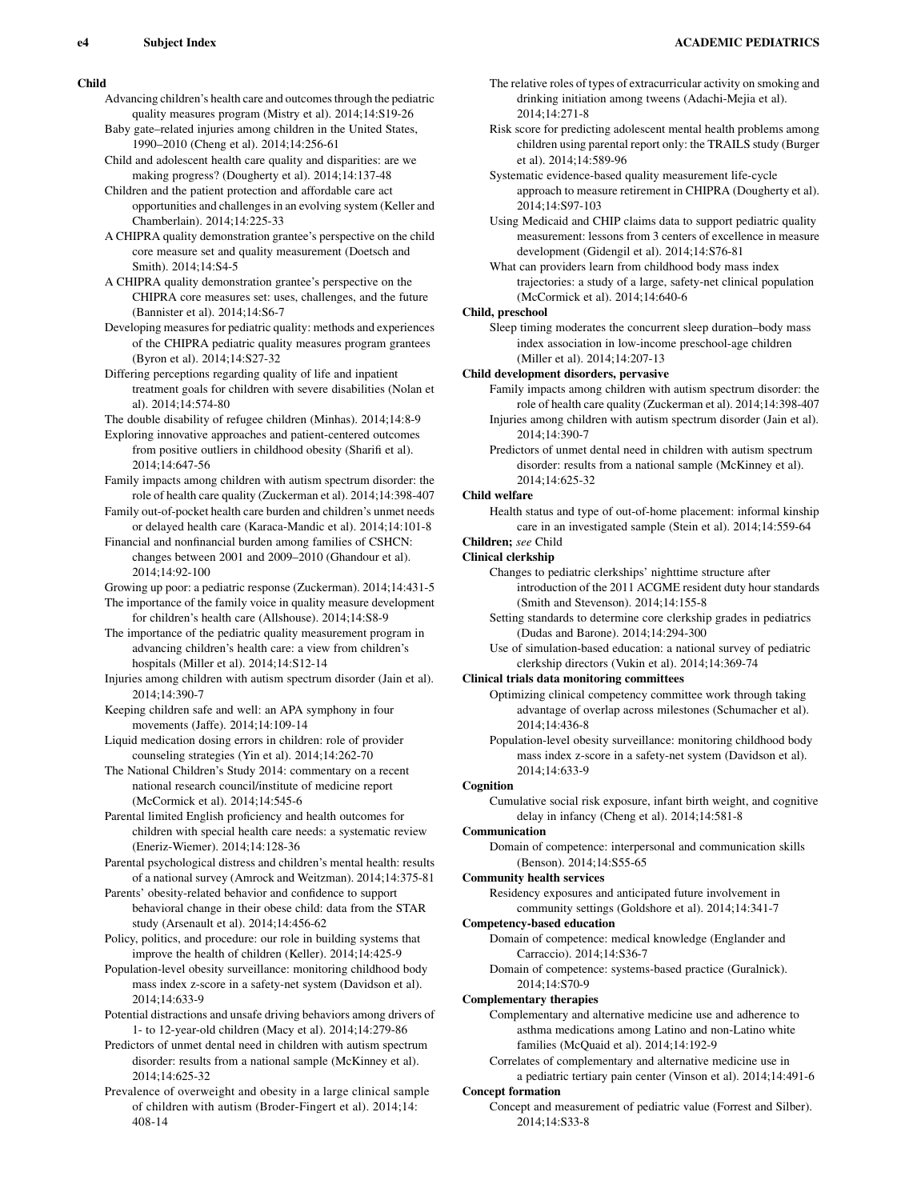### Child

- Advancing children's health care and outcomes through the pediatric quality measures program (Mistry et al). 2014;14:S19-26
- Baby gate–related injuries among children in the United States, 1990–2010 (Cheng et al). 2014;14:256-61
- Child and adolescent health care quality and disparities: are we making progress? (Dougherty et al). 2014;14:137-48
- Children and the patient protection and affordable care act opportunities and challenges in an evolving system (Keller and Chamberlain). 2014;14:225-33
- A CHIPRA quality demonstration grantee's perspective on the child core measure set and quality measurement (Doetsch and Smith). 2014;14:S4-5
- A CHIPRA quality demonstration grantee's perspective on the CHIPRA core measures set: uses, challenges, and the future (Bannister et al). 2014;14:S6-7
- Developing measures for pediatric quality: methods and experiences of the CHIPRA pediatric quality measures program grantees (Byron et al). 2014;14:S27-32
- Differing perceptions regarding quality of life and inpatient treatment goals for children with severe disabilities (Nolan et al). 2014;14:574-80
- The double disability of refugee children (Minhas). 2014;14:8-9
- Exploring innovative approaches and patient-centered outcomes from positive outliers in childhood obesity (Sharifi et al). 2014;14:647-56
- Family impacts among children with autism spectrum disorder: the role of health care quality (Zuckerman et al). 2014;14:398-407
- Family out-of-pocket health care burden and children's unmet needs or delayed health care (Karaca-Mandic et al). 2014;14:101-8
- Financial and nonfinancial burden among families of CSHCN: changes between 2001 and 2009–2010 (Ghandour et al). 2014;14:92-100
- Growing up poor: a pediatric response (Zuckerman). 2014;14:431-5
- The importance of the family voice in quality measure development for children's health care (Allshouse). 2014;14:S8-9
- The importance of the pediatric quality measurement program in advancing children's health care: a view from children's hospitals (Miller et al). 2014;14:S12-14
- Injuries among children with autism spectrum disorder (Jain et al). 2014;14:390-7
- Keeping children safe and well: an APA symphony in four movements (Jaffe). 2014;14:109-14
- Liquid medication dosing errors in children: role of provider counseling strategies (Yin et al). 2014;14:262-70
- The National Children's Study 2014: commentary on a recent national research council/institute of medicine report (McCormick et al). 2014;14:545-6
- Parental limited English proficiency and health outcomes for children with special health care needs: a systematic review (Eneriz-Wiemer). 2014;14:128-36
- Parental psychological distress and children's mental health: results of a national survey (Amrock and Weitzman). 2014;14:375-81
- Parents' obesity-related behavior and confidence to support behavioral change in their obese child: data from the STAR study (Arsenault et al). 2014;14:456-62
- Policy, politics, and procedure: our role in building systems that improve the health of children (Keller). 2014;14:425-9
- Population-level obesity surveillance: monitoring childhood body mass index z-score in a safety-net system (Davidson et al). 2014;14:633-9
- Potential distractions and unsafe driving behaviors among drivers of 1- to 12-year-old children (Macy et al). 2014;14:279-86
- Predictors of unmet dental need in children with autism spectrum disorder: results from a national sample (McKinney et al). 2014;14:625-32
- Prevalence of overweight and obesity in a large clinical sample of children with autism (Broder-Fingert et al). 2014;14: 408-14
- The relative roles of types of extracurricular activity on smoking and drinking initiation among tweens (Adachi-Mejia et al). 2014;14:271-8
- Risk score for predicting adolescent mental health problems among children using parental report only: the TRAILS study (Burger et al). 2014;14:589-96
- Systematic evidence-based quality measurement life-cycle approach to measure retirement in CHIPRA (Dougherty et al). 2014;14:S97-103
- Using Medicaid and CHIP claims data to support pediatric quality measurement: lessons from 3 centers of excellence in measure development (Gidengil et al). 2014;14:S76-81
- What can providers learn from childhood body mass index trajectories: a study of a large, safety-net clinical population (McCormick et al). 2014;14:640-6

## Child, preschool

Sleep timing moderates the concurrent sleep duration–body mass index association in low-income preschool-age children (Miller et al). 2014;14:207-13

## Child development disorders, pervasive

- Family impacts among children with autism spectrum disorder: the role of health care quality (Zuckerman et al). 2014;14:398-407 Injuries among children with autism spectrum disorder (Jain et al).
- 2014;14:390-7
- Predictors of unmet dental need in children with autism spectrum disorder: results from a national sample (McKinney et al). 2014;14:625-32

## Child welfare

Health status and type of out-of-home placement: informal kinship care in an investigated sample (Stein et al). 2014;14:559-64

# Children; see Child

## Clinical clerkship

- Changes to pediatric clerkships' nighttime structure after introduction of the 2011 ACGME resident duty hour standards (Smith and Stevenson). 2014;14:155-8
- Setting standards to determine core clerkship grades in pediatrics (Dudas and Barone). 2014;14:294-300
- Use of simulation-based education: a national survey of pediatric clerkship directors (Vukin et al). 2014;14:369-74

### Clinical trials data monitoring committees

- Optimizing clinical competency committee work through taking advantage of overlap across milestones (Schumacher et al). 2014;14:436-8
- Population-level obesity surveillance: monitoring childhood body mass index z-score in a safety-net system (Davidson et al). 2014;14:633-9

## Cognition

Cumulative social risk exposure, infant birth weight, and cognitive delay in infancy (Cheng et al). 2014;14:581-8

## Communication

Domain of competence: interpersonal and communication skills (Benson). 2014;14:S55-65

### Community health services

Residency exposures and anticipated future involvement in community settings (Goldshore et al). 2014;14:341-7

### Competency-based education

- Domain of competence: medical knowledge (Englander and Carraccio). 2014;14:S36-7
- Domain of competence: systems-based practice (Guralnick). 2014;14:S70-9

### Complementary therapies

- Complementary and alternative medicine use and adherence to asthma medications among Latino and non-Latino white families (McQuaid et al). 2014;14:192-9
- Correlates of complementary and alternative medicine use in

## a pediatric tertiary pain center (Vinson et al). 2014;14:491-6 Concept formation

Concept and measurement of pediatric value (Forrest and Silber). 2014;14:S33-8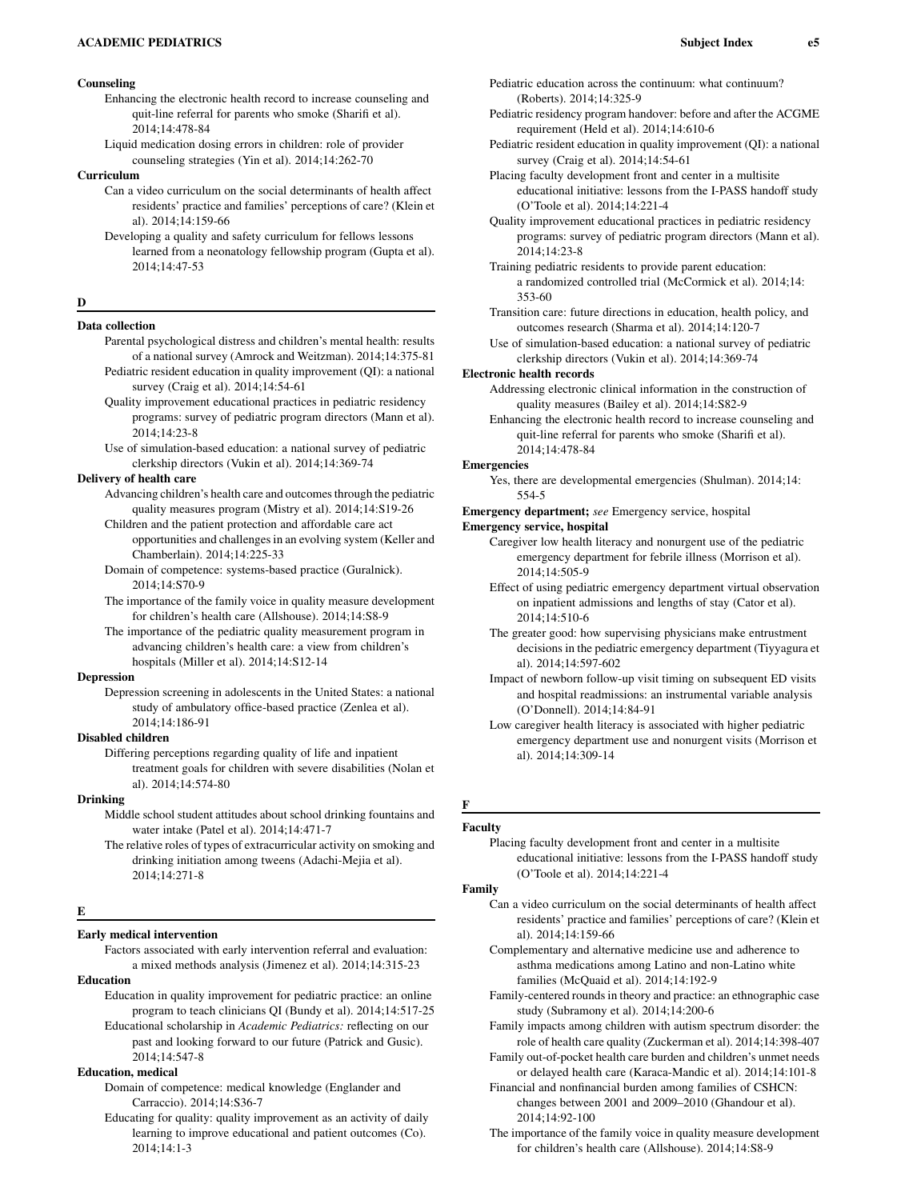## Counseling

- Enhancing the electronic health record to increase counseling and quit-line referral for parents who smoke (Sharifi et al). 2014;14:478-84
- Liquid medication dosing errors in children: role of provider counseling strategies (Yin et al). 2014;14:262-70

## Curriculum

- Can a video curriculum on the social determinants of health affect residents' practice and families' perceptions of care? (Klein et al). 2014;14:159-66
- Developing a quality and safety curriculum for fellows lessons learned from a neonatology fellowship program (Gupta et al). 2014;14:47-53

### D

### Data collection

- Parental psychological distress and children's mental health: results of a national survey (Amrock and Weitzman). 2014;14:375-81 Pediatric resident education in quality improvement (QI): a national survey (Craig et al). 2014;14:54-61
- Quality improvement educational practices in pediatric residency programs: survey of pediatric program directors (Mann et al). 2014;14:23-8
- Use of simulation-based education: a national survey of pediatric clerkship directors (Vukin et al). 2014;14:369-74

### Delivery of health care

- Advancing children's health care and outcomes through the pediatric quality measures program (Mistry et al). 2014;14:S19-26
- Children and the patient protection and affordable care act opportunities and challenges in an evolving system (Keller and Chamberlain). 2014;14:225-33
- Domain of competence: systems-based practice (Guralnick). 2014;14:S70-9
- The importance of the family voice in quality measure development for children's health care (Allshouse). 2014;14:S8-9
- The importance of the pediatric quality measurement program in advancing children's health care: a view from children's hospitals (Miller et al). 2014;14:S12-14

### Depression

Depression screening in adolescents in the United States: a national study of ambulatory office-based practice (Zenlea et al). 2014;14:186-91

#### Disabled children

Differing perceptions regarding quality of life and inpatient treatment goals for children with severe disabilities (Nolan et al). 2014;14:574-80

### Drinking

- Middle school student attitudes about school drinking fountains and water intake (Patel et al). 2014;14:471-7
- The relative roles of types of extracurricular activity on smoking and drinking initiation among tweens (Adachi-Mejia et al). 2014;14:271-8

#### E

### Early medical intervention

Factors associated with early intervention referral and evaluation: a mixed methods analysis (Jimenez et al). 2014;14:315-23

Education

- Education in quality improvement for pediatric practice: an online program to teach clinicians QI (Bundy et al). 2014;14:517-25 Educational scholarship in Academic Pediatrics: reflecting on our
- past and looking forward to our future (Patrick and Gusic). 2014;14:547-8

## Education, medical

Domain of competence: medical knowledge (Englander and Carraccio). 2014;14:S36-7

Educating for quality: quality improvement as an activity of daily learning to improve educational and patient outcomes (Co). 2014;14:1-3

- Pediatric education across the continuum: what continuum? (Roberts). 2014;14:325-9
- Pediatric residency program handover: before and after the ACGME requirement (Held et al). 2014;14:610-6
- Pediatric resident education in quality improvement (QI): a national survey (Craig et al). 2014;14:54-61
- Placing faculty development front and center in a multisite educational initiative: lessons from the I-PASS handoff study (O'Toole et al). 2014;14:221-4
- Quality improvement educational practices in pediatric residency programs: survey of pediatric program directors (Mann et al). 2014;14:23-8

Training pediatric residents to provide parent education: a randomized controlled trial (McCormick et al). 2014;14: 353-60

- Transition care: future directions in education, health policy, and outcomes research (Sharma et al). 2014;14:120-7
- Use of simulation-based education: a national survey of pediatric clerkship directors (Vukin et al). 2014;14:369-74

#### Electronic health records

- Addressing electronic clinical information in the construction of quality measures (Bailey et al). 2014;14:S82-9
- Enhancing the electronic health record to increase counseling and quit-line referral for parents who smoke (Sharifi et al). 2014;14:478-84

#### Emergencies

Yes, there are developmental emergencies (Shulman). 2014;14: 554-5

Emergency department; see Emergency service, hospital

### Emergency service, hospital

- Caregiver low health literacy and nonurgent use of the pediatric emergency department for febrile illness (Morrison et al). 2014;14:505-9
- Effect of using pediatric emergency department virtual observation on inpatient admissions and lengths of stay (Cator et al). 2014;14:510-6
- The greater good: how supervising physicians make entrustment decisions in the pediatric emergency department (Tiyyagura et al). 2014;14:597-602
- Impact of newborn follow-up visit timing on subsequent ED visits and hospital readmissions: an instrumental variable analysis (O'Donnell). 2014;14:84-91
- Low caregiver health literacy is associated with higher pediatric emergency department use and nonurgent visits (Morrison et al). 2014;14:309-14

## F Faculty

Placing faculty development front and center in a multisite educational initiative: lessons from the I-PASS handoff study (O'Toole et al). 2014;14:221-4

#### Family

- Can a video curriculum on the social determinants of health affect residents' practice and families' perceptions of care? (Klein et al). 2014;14:159-66
- Complementary and alternative medicine use and adherence to asthma medications among Latino and non-Latino white families (McQuaid et al). 2014;14:192-9
- Family-centered rounds in theory and practice: an ethnographic case study (Subramony et al). 2014;14:200-6
- Family impacts among children with autism spectrum disorder: the role of health care quality (Zuckerman et al). 2014;14:398-407
- Family out-of-pocket health care burden and children's unmet needs or delayed health care (Karaca-Mandic et al). 2014;14:101-8
- Financial and nonfinancial burden among families of CSHCN: changes between 2001 and 2009–2010 (Ghandour et al). 2014;14:92-100
- The importance of the family voice in quality measure development for children's health care (Allshouse). 2014;14:S8-9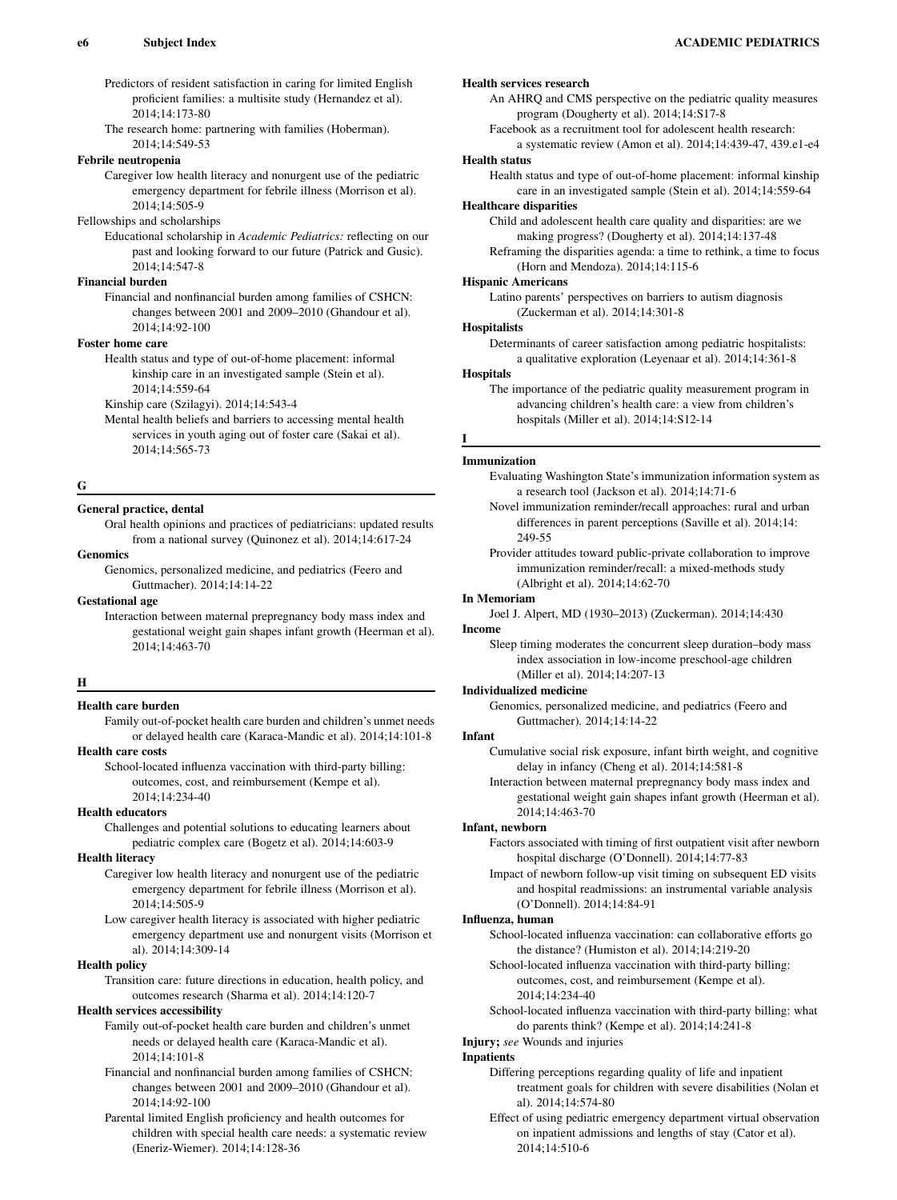Predictors of resident satisfaction in caring for limited English proficient families: a multisite study (Hernandez et al). 2014;14:173-80

The research home: partnering with families (Hoberman). 2014;14:549-53

### Febrile neutropenia

Caregiver low health literacy and nonurgent use of the pediatric emergency department for febrile illness (Morrison et al). 2014;14:505-9

### Fellowships and scholarships

Educational scholarship in Academic Pediatrics: reflecting on our past and looking forward to our future (Patrick and Gusic). 2014;14:547-8

### Financial burden

Financial and nonfinancial burden among families of CSHCN: changes between 2001 and 2009–2010 (Ghandour et al). 2014;14:92-100

#### Foster home care

Health status and type of out-of-home placement: informal kinship care in an investigated sample (Stein et al). 2014;14:559-64

Kinship care (Szilagyi). 2014;14:543-4

Mental health beliefs and barriers to accessing mental health services in youth aging out of foster care (Sakai et al). 2014;14:565-73

### G

### General practice, dental

Oral health opinions and practices of pediatricians: updated results from a national survey (Quinonez et al). 2014;14:617-24

## Genomics

Genomics, personalized medicine, and pediatrics (Feero and Guttmacher). 2014;14:14-22

### Gestational age

Interaction between maternal prepregnancy body mass index and gestational weight gain shapes infant growth (Heerman et al). 2014;14:463-70

### $\mathbf H$

### Health care burden

Family out-of-pocket health care burden and children's unmet needs or delayed health care (Karaca-Mandic et al). 2014;14:101-8

### Health care costs

School-located influenza vaccination with third-party billing: outcomes, cost, and reimbursement (Kempe et al). 2014;14:234-40

## Health educators

Challenges and potential solutions to educating learners about pediatric complex care (Bogetz et al). 2014;14:603-9

### Health literacy

Caregiver low health literacy and nonurgent use of the pediatric emergency department for febrile illness (Morrison et al). 2014;14:505-9

Low caregiver health literacy is associated with higher pediatric emergency department use and nonurgent visits (Morrison et al). 2014;14:309-14

### Health policy

Transition care: future directions in education, health policy, and outcomes research (Sharma et al). 2014;14:120-7

### Health services accessibility

Family out-of-pocket health care burden and children's unmet needs or delayed health care (Karaca-Mandic et al). 2014;14:101-8

Financial and nonfinancial burden among families of CSHCN: changes between 2001 and 2009–2010 (Ghandour et al). 2014;14:92-100

Parental limited English proficiency and health outcomes for children with special health care needs: a systematic review (Eneriz-Wiemer). 2014;14:128-36

### Health services research

An AHRQ and CMS perspective on the pediatric quality measures program (Dougherty et al). 2014;14:S17-8

Facebook as a recruitment tool for adolescent health research: a systematic review (Amon et al). 2014;14:439-47, 439.e1-e4

### Health status

Health status and type of out-of-home placement: informal kinship care in an investigated sample (Stein et al). 2014;14:559-64

## Healthcare disparities

Child and adolescent health care quality and disparities: are we making progress? (Dougherty et al). 2014;14:137-48

Reframing the disparities agenda: a time to rethink, a time to focus (Horn and Mendoza). 2014;14:115-6

### Hispanic Americans

Latino parents' perspectives on barriers to autism diagnosis (Zuckerman et al). 2014;14:301-8

#### **Hospitalists**

Determinants of career satisfaction among pediatric hospitalists: a qualitative exploration (Leyenaar et al). 2014;14:361-8

### Hospitals

I

The importance of the pediatric quality measurement program in advancing children's health care: a view from children's hospitals (Miller et al). 2014;14:S12-14

### Immunization

- Evaluating Washington State's immunization information system as a research tool (Jackson et al). 2014;14:71-6
- Novel immunization reminder/recall approaches: rural and urban differences in parent perceptions (Saville et al). 2014;14: 249-55

Provider attitudes toward public-private collaboration to improve immunization reminder/recall: a mixed-methods study (Albright et al). 2014;14:62-70

### In Memoriam

Joel J. Alpert, MD (1930–2013) (Zuckerman). 2014;14:430 Income

Sleep timing moderates the concurrent sleep duration–body mass index association in low-income preschool-age children (Miller et al). 2014;14:207-13

#### Individualized medicine

Genomics, personalized medicine, and pediatrics (Feero and Guttmacher). 2014;14:14-22

#### Infant

Cumulative social risk exposure, infant birth weight, and cognitive delay in infancy (Cheng et al). 2014;14:581-8

Interaction between maternal prepregnancy body mass index and gestational weight gain shapes infant growth (Heerman et al). 2014;14:463-70

#### Infant, newborn

Factors associated with timing of first outpatient visit after newborn hospital discharge (O'Donnell). 2014;14:77-83

Impact of newborn follow-up visit timing on subsequent ED visits and hospital readmissions: an instrumental variable analysis (O'Donnell). 2014;14:84-91

#### Influenza, human

School-located influenza vaccination: can collaborative efforts go the distance? (Humiston et al). 2014;14:219-20

School-located influenza vaccination with third-party billing: outcomes, cost, and reimbursement (Kempe et al). 2014;14:234-40

School-located influenza vaccination with third-party billing: what do parents think? (Kempe et al). 2014;14:241-8

### Injury; see Wounds and injuries

### **Inpatients**

- Differing perceptions regarding quality of life and inpatient treatment goals for children with severe disabilities (Nolan et al). 2014;14:574-80
- Effect of using pediatric emergency department virtual observation on inpatient admissions and lengths of stay (Cator et al). 2014;14:510-6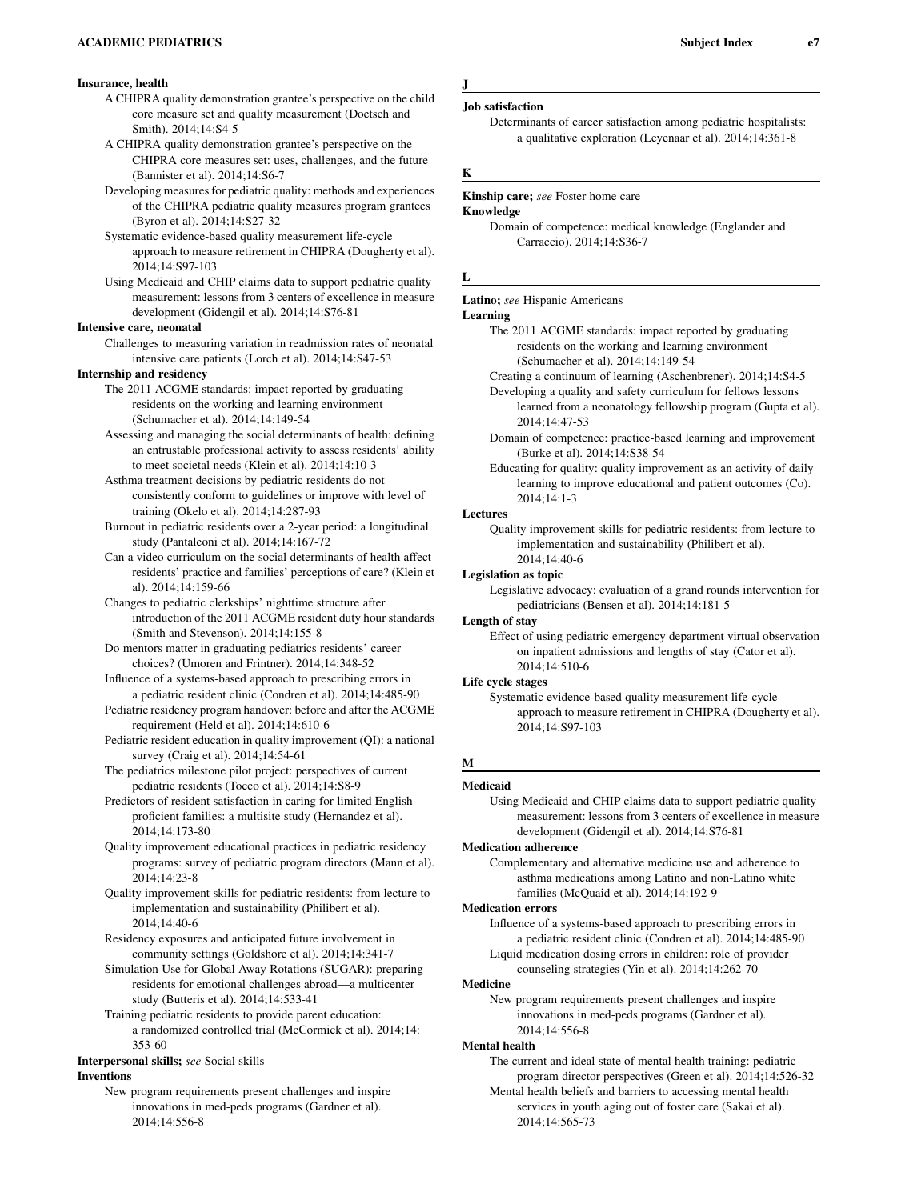## Insurance, health

- A CHIPRA quality demonstration grantee's perspective on the child core measure set and quality measurement (Doetsch and Smith). 2014;14:S4-5
- A CHIPRA quality demonstration grantee's perspective on the CHIPRA core measures set: uses, challenges, and the future (Bannister et al). 2014;14:S6-7
- Developing measures for pediatric quality: methods and experiences of the CHIPRA pediatric quality measures program grantees (Byron et al). 2014;14:S27-32
- Systematic evidence-based quality measurement life-cycle approach to measure retirement in CHIPRA (Dougherty et al). 2014;14:S97-103
- Using Medicaid and CHIP claims data to support pediatric quality measurement: lessons from 3 centers of excellence in measure development (Gidengil et al). 2014;14:S76-81

### Intensive care, neonatal

Challenges to measuring variation in readmission rates of neonatal intensive care patients (Lorch et al). 2014;14:S47-53

### Internship and residency

- The 2011 ACGME standards: impact reported by graduating residents on the working and learning environment (Schumacher et al). 2014;14:149-54
- Assessing and managing the social determinants of health: defining an entrustable professional activity to assess residents' ability to meet societal needs (Klein et al). 2014;14:10-3

Asthma treatment decisions by pediatric residents do not consistently conform to guidelines or improve with level of training (Okelo et al). 2014;14:287-93

Burnout in pediatric residents over a 2-year period: a longitudinal study (Pantaleoni et al). 2014;14:167-72

- Can a video curriculum on the social determinants of health affect residents' practice and families' perceptions of care? (Klein et al). 2014;14:159-66
- Changes to pediatric clerkships' nighttime structure after introduction of the 2011 ACGME resident duty hour standards (Smith and Stevenson). 2014;14:155-8
- Do mentors matter in graduating pediatrics residents' career choices? (Umoren and Frintner). 2014;14:348-52
- Influence of a systems-based approach to prescribing errors in a pediatric resident clinic (Condren et al). 2014;14:485-90
- Pediatric residency program handover: before and after the ACGME requirement (Held et al). 2014;14:610-6
- Pediatric resident education in quality improvement (QI): a national survey (Craig et al). 2014;14:54-61
- The pediatrics milestone pilot project: perspectives of current pediatric residents (Tocco et al). 2014;14:S8-9
- Predictors of resident satisfaction in caring for limited English proficient families: a multisite study (Hernandez et al). 2014;14:173-80
- Quality improvement educational practices in pediatric residency programs: survey of pediatric program directors (Mann et al). 2014;14:23-8
- Quality improvement skills for pediatric residents: from lecture to implementation and sustainability (Philibert et al). 2014;14:40-6
- Residency exposures and anticipated future involvement in community settings (Goldshore et al). 2014;14:341-7
- Simulation Use for Global Away Rotations (SUGAR): preparing residents for emotional challenges abroad—a multicenter study (Butteris et al). 2014;14:533-41
- Training pediatric residents to provide parent education: a randomized controlled trial (McCormick et al). 2014;14: 353-60

## Interpersonal skills; see Social skills

## Inventions

New program requirements present challenges and inspire innovations in med-peds programs (Gardner et al). 2014;14:556-8

```
J
```
## Job satisfaction

Determinants of career satisfaction among pediatric hospitalists: a qualitative exploration (Leyenaar et al). 2014;14:361-8

### K

#### Kinship care; see Foster home care

#### Knowledge

Domain of competence: medical knowledge (Englander and Carraccio). 2014;14:S36-7

## L

## Latino; see Hispanic Americans

#### Learning

- The 2011 ACGME standards: impact reported by graduating residents on the working and learning environment (Schumacher et al). 2014;14:149-54
- Creating a continuum of learning (Aschenbrener). 2014;14:S4-5
- Developing a quality and safety curriculum for fellows lessons learned from a neonatology fellowship program (Gupta et al). 2014;14:47-53
- Domain of competence: practice-based learning and improvement (Burke et al). 2014;14:S38-54
- Educating for quality: quality improvement as an activity of daily learning to improve educational and patient outcomes (Co). 2014;14:1-3

#### Lectures

Quality improvement skills for pediatric residents: from lecture to implementation and sustainability (Philibert et al). 2014;14:40-6

#### Legislation as topic

Legislative advocacy: evaluation of a grand rounds intervention for pediatricians (Bensen et al). 2014;14:181-5

### Length of stay

Effect of using pediatric emergency department virtual observation on inpatient admissions and lengths of stay (Cator et al). 2014;14:510-6

#### Life cycle stages

Systematic evidence-based quality measurement life-cycle approach to measure retirement in CHIPRA (Dougherty et al). 2014;14:S97-103

## M

## Medicaid

Using Medicaid and CHIP claims data to support pediatric quality measurement: lessons from 3 centers of excellence in measure development (Gidengil et al). 2014;14:S76-81

## Medication adherence

Complementary and alternative medicine use and adherence to asthma medications among Latino and non-Latino white families (McQuaid et al). 2014;14:192-9

## Medication errors

Influence of a systems-based approach to prescribing errors in a pediatric resident clinic (Condren et al). 2014;14:485-90 Liquid medication dosing errors in children: role of provider

counseling strategies (Yin et al). 2014;14:262-70

## Medicine

New program requirements present challenges and inspire innovations in med-peds programs (Gardner et al). 2014;14:556-8

### Mental health

The current and ideal state of mental health training: pediatric program director perspectives (Green et al). 2014;14:526-32

Mental health beliefs and barriers to accessing mental health services in youth aging out of foster care (Sakai et al). 2014;14:565-73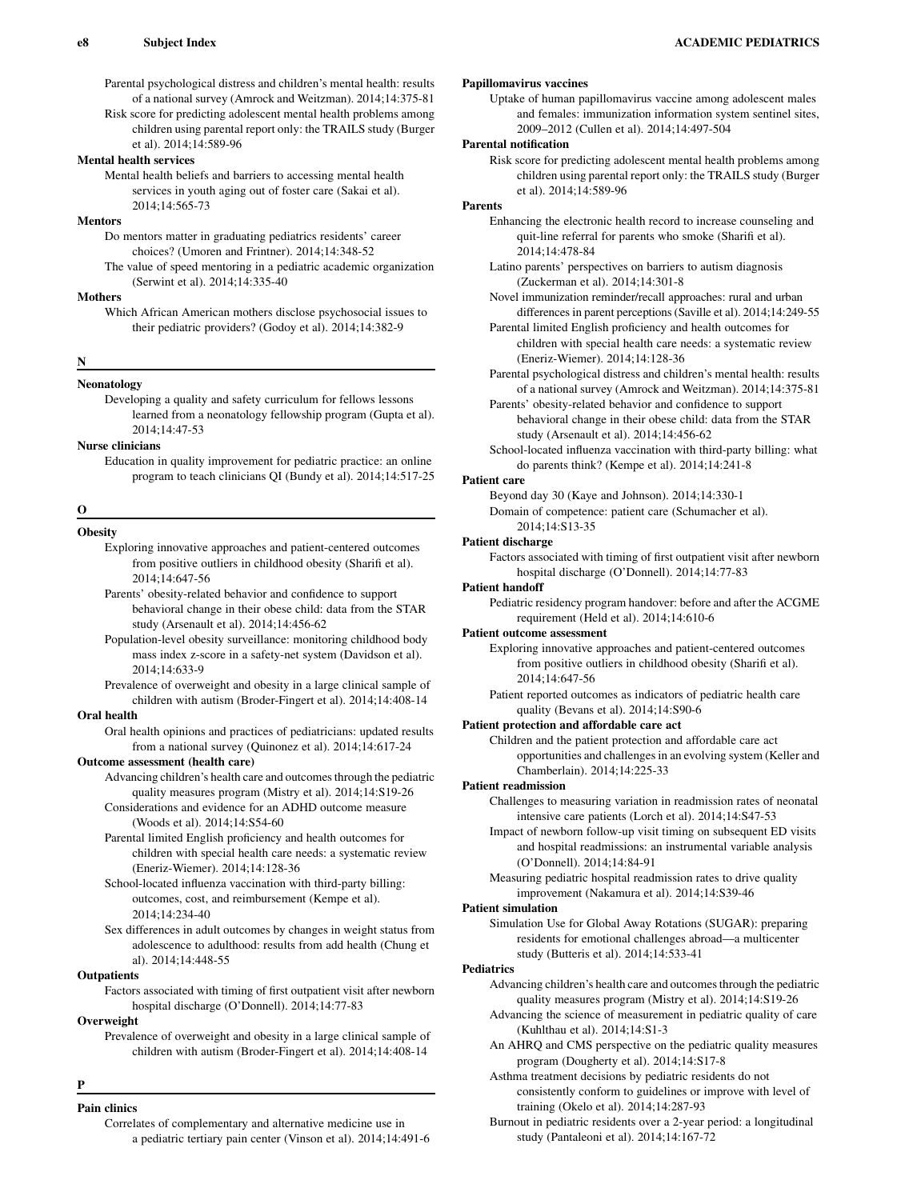Parental psychological distress and children's mental health: results of a national survey (Amrock and Weitzman). 2014;14:375-81

Risk score for predicting adolescent mental health problems among children using parental report only: the TRAILS study (Burger et al). 2014;14:589-96

### Mental health services

Mental health beliefs and barriers to accessing mental health services in youth aging out of foster care (Sakai et al). 2014;14:565-73

### **Mentors**

Do mentors matter in graduating pediatrics residents' career choices? (Umoren and Frintner). 2014;14:348-52

The value of speed mentoring in a pediatric academic organization (Serwint et al). 2014;14:335-40

### **Mothers**

Which African American mothers disclose psychosocial issues to their pediatric providers? (Godoy et al). 2014;14:382-9

### N

## Neonatology

Developing a quality and safety curriculum for fellows lessons learned from a neonatology fellowship program (Gupta et al). 2014;14:47-53

## Nurse clinicians

Education in quality improvement for pediatric practice: an online program to teach clinicians QI (Bundy et al). 2014;14:517-25

## O

**Obesity** Exploring innovative approaches and patient-centered outcomes from positive outliers in childhood obesity (Sharifi et al). 2014;14:647-56

Parents' obesity-related behavior and confidence to support behavioral change in their obese child: data from the STAR study (Arsenault et al). 2014;14:456-62

Population-level obesity surveillance: monitoring childhood body mass index z-score in a safety-net system (Davidson et al). 2014;14:633-9

Prevalence of overweight and obesity in a large clinical sample of children with autism (Broder-Fingert et al). 2014;14:408-14

### Oral health

Oral health opinions and practices of pediatricians: updated results from a national survey (Quinonez et al). 2014;14:617-24

#### Outcome assessment (health care)

- Advancing children's health care and outcomes through the pediatric quality measures program (Mistry et al). 2014;14:S19-26
- Considerations and evidence for an ADHD outcome measure (Woods et al). 2014;14:S54-60
- Parental limited English proficiency and health outcomes for children with special health care needs: a systematic review (Eneriz-Wiemer). 2014;14:128-36
- School-located influenza vaccination with third-party billing: outcomes, cost, and reimbursement (Kempe et al). 2014;14:234-40
- Sex differences in adult outcomes by changes in weight status from adolescence to adulthood: results from add health (Chung et al). 2014;14:448-55

## **Outpatients**

Factors associated with timing of first outpatient visit after newborn hospital discharge (O'Donnell). 2014;14:77-83

**Overweight** 

Prevalence of overweight and obesity in a large clinical sample of children with autism (Broder-Fingert et al). 2014;14:408-14

P

## Pain clinics

Correlates of complementary and alternative medicine use in a pediatric tertiary pain center (Vinson et al). 2014;14:491-6

## Papillomavirus vaccines

Uptake of human papillomavirus vaccine among adolescent males and females: immunization information system sentinel sites, 2009–2012 (Cullen et al). 2014;14:497-504

## Parental notification

Risk score for predicting adolescent mental health problems among children using parental report only: the TRAILS study (Burger et al). 2014;14:589-96

### Parents

- Enhancing the electronic health record to increase counseling and quit-line referral for parents who smoke (Sharifi et al). 2014;14:478-84
- Latino parents' perspectives on barriers to autism diagnosis (Zuckerman et al). 2014;14:301-8
- Novel immunization reminder/recall approaches: rural and urban differences in parent perceptions (Saville et al). 2014;14:249-55
- Parental limited English proficiency and health outcomes for children with special health care needs: a systematic review (Eneriz-Wiemer). 2014;14:128-36
- Parental psychological distress and children's mental health: results of a national survey (Amrock and Weitzman). 2014;14:375-81
- Parents' obesity-related behavior and confidence to support behavioral change in their obese child: data from the STAR study (Arsenault et al). 2014;14:456-62

School-located influenza vaccination with third-party billing: what do parents think? (Kempe et al). 2014;14:241-8

### Patient care

Beyond day 30 (Kaye and Johnson). 2014;14:330-1 Domain of competence: patient care (Schumacher et al). 2014;14:S13-35

### Patient discharge

Factors associated with timing of first outpatient visit after newborn hospital discharge (O'Donnell). 2014;14:77-83

### Patient handoff

Pediatric residency program handover: before and after the ACGME requirement (Held et al). 2014;14:610-6

### Patient outcome assessment

Exploring innovative approaches and patient-centered outcomes from positive outliers in childhood obesity (Sharifi et al). 2014;14:647-56

Patient reported outcomes as indicators of pediatric health care quality (Bevans et al). 2014;14:S90-6

### Patient protection and affordable care act

Children and the patient protection and affordable care act opportunities and challenges in an evolving system (Keller and Chamberlain). 2014;14:225-33

### Patient readmission

Challenges to measuring variation in readmission rates of neonatal intensive care patients (Lorch et al). 2014;14:S47-53

Impact of newborn follow-up visit timing on subsequent ED visits and hospital readmissions: an instrumental variable analysis (O'Donnell). 2014;14:84-91

Measuring pediatric hospital readmission rates to drive quality improvement (Nakamura et al). 2014;14:S39-46

## Patient simulation

Simulation Use for Global Away Rotations (SUGAR): preparing residents for emotional challenges abroad—a multicenter study (Butteris et al). 2014;14:533-41

### **Pediatrics**

Advancing children's health care and outcomes through the pediatric quality measures program (Mistry et al). 2014;14:S19-26

- Advancing the science of measurement in pediatric quality of care (Kuhlthau et al). 2014;14:S1-3
- An AHRQ and CMS perspective on the pediatric quality measures program (Dougherty et al). 2014;14:S17-8

Asthma treatment decisions by pediatric residents do not consistently conform to guidelines or improve with level of training (Okelo et al). 2014;14:287-93

Burnout in pediatric residents over a 2-year period: a longitudinal study (Pantaleoni et al). 2014;14:167-72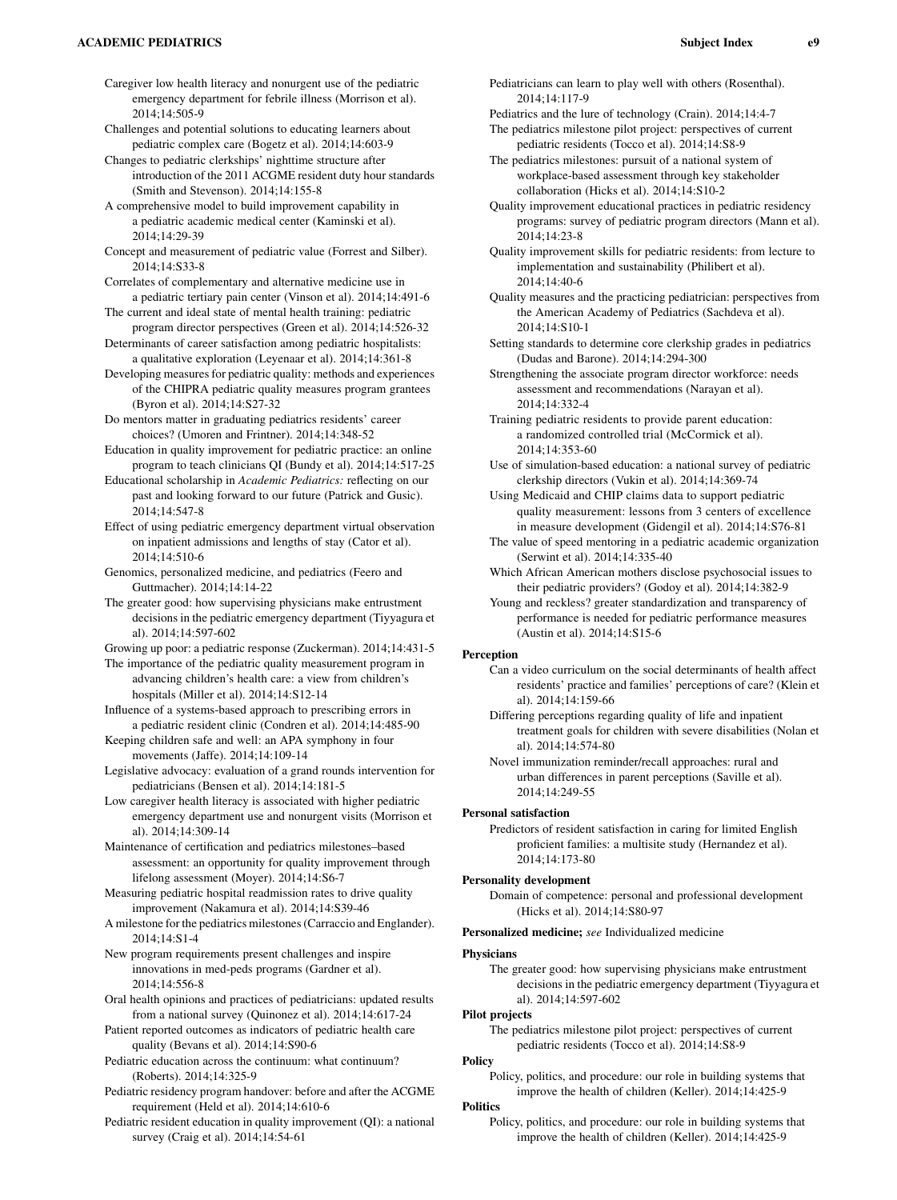### ACADEMIC PEDIATRICS Subject Index e9

- Caregiver low health literacy and nonurgent use of the pediatric emergency department for febrile illness (Morrison et al). 2014;14:505-9
- Challenges and potential solutions to educating learners about pediatric complex care (Bogetz et al). 2014;14:603-9
- Changes to pediatric clerkships' nighttime structure after introduction of the 2011 ACGME resident duty hour standards (Smith and Stevenson). 2014;14:155-8
- A comprehensive model to build improvement capability in a pediatric academic medical center (Kaminski et al). 2014;14:29-39
- Concept and measurement of pediatric value (Forrest and Silber). 2014;14:S33-8
- Correlates of complementary and alternative medicine use in a pediatric tertiary pain center (Vinson et al). 2014;14:491-6
- The current and ideal state of mental health training: pediatric program director perspectives (Green et al). 2014;14:526-32
- Determinants of career satisfaction among pediatric hospitalists: a qualitative exploration (Leyenaar et al). 2014;14:361-8
- Developing measures for pediatric quality: methods and experiences of the CHIPRA pediatric quality measures program grantees (Byron et al). 2014;14:S27-32
- Do mentors matter in graduating pediatrics residents' career choices? (Umoren and Frintner). 2014;14:348-52
- Education in quality improvement for pediatric practice: an online program to teach clinicians QI (Bundy et al). 2014;14:517-25
- Educational scholarship in Academic Pediatrics: reflecting on our past and looking forward to our future (Patrick and Gusic). 2014;14:547-8
- Effect of using pediatric emergency department virtual observation on inpatient admissions and lengths of stay (Cator et al). 2014;14:510-6
- Genomics, personalized medicine, and pediatrics (Feero and Guttmacher). 2014;14:14-22
- The greater good: how supervising physicians make entrustment decisions in the pediatric emergency department (Tiyyagura et al). 2014;14:597-602
- Growing up poor: a pediatric response (Zuckerman). 2014;14:431-5
- The importance of the pediatric quality measurement program in advancing children's health care: a view from children's hospitals (Miller et al). 2014;14:S12-14
- Influence of a systems-based approach to prescribing errors in a pediatric resident clinic (Condren et al). 2014;14:485-90
- Keeping children safe and well: an APA symphony in four movements (Jaffe). 2014;14:109-14
- Legislative advocacy: evaluation of a grand rounds intervention for pediatricians (Bensen et al). 2014;14:181-5
- Low caregiver health literacy is associated with higher pediatric emergency department use and nonurgent visits (Morrison et al). 2014;14:309-14
- Maintenance of certification and pediatrics milestones–based assessment: an opportunity for quality improvement through lifelong assessment (Moyer). 2014;14:S6-7
- Measuring pediatric hospital readmission rates to drive quality improvement (Nakamura et al). 2014;14:S39-46
- A milestone for the pediatrics milestones (Carraccio and Englander). 2014;14:S1-4
- New program requirements present challenges and inspire innovations in med-peds programs (Gardner et al). 2014;14:556-8
- Oral health opinions and practices of pediatricians: updated results from a national survey (Quinonez et al). 2014;14:617-24
- Patient reported outcomes as indicators of pediatric health care quality (Bevans et al). 2014;14:S90-6
- Pediatric education across the continuum: what continuum? (Roberts). 2014;14:325-9
- Pediatric residency program handover: before and after the ACGME requirement (Held et al). 2014;14:610-6
- Pediatric resident education in quality improvement (QI): a national survey (Craig et al). 2014;14:54-61
- Pediatricians can learn to play well with others (Rosenthal). 2014;14:117-9
- Pediatrics and the lure of technology (Crain). 2014;14:4-7 The pediatrics milestone pilot project: perspectives of current pediatric residents (Tocco et al). 2014;14:S8-9
- The pediatrics milestones: pursuit of a national system of workplace-based assessment through key stakeholder collaboration (Hicks et al). 2014;14:S10-2
- Quality improvement educational practices in pediatric residency programs: survey of pediatric program directors (Mann et al). 2014;14:23-8
- Quality improvement skills for pediatric residents: from lecture to implementation and sustainability (Philibert et al). 2014;14:40-6
- Quality measures and the practicing pediatrician: perspectives from the American Academy of Pediatrics (Sachdeva et al). 2014;14:S10-1
- Setting standards to determine core clerkship grades in pediatrics (Dudas and Barone). 2014;14:294-300
- Strengthening the associate program director workforce: needs assessment and recommendations (Narayan et al). 2014;14:332-4
- Training pediatric residents to provide parent education: a randomized controlled trial (McCormick et al). 2014;14:353-60
- Use of simulation-based education: a national survey of pediatric clerkship directors (Vukin et al). 2014;14:369-74
- Using Medicaid and CHIP claims data to support pediatric quality measurement: lessons from 3 centers of excellence in measure development (Gidengil et al). 2014;14:S76-81
- The value of speed mentoring in a pediatric academic organization (Serwint et al). 2014;14:335-40
- Which African American mothers disclose psychosocial issues to their pediatric providers? (Godoy et al). 2014;14:382-9
- Young and reckless? greater standardization and transparency of performance is needed for pediatric performance measures (Austin et al). 2014;14:S15-6

### Perception

- Can a video curriculum on the social determinants of health affect residents' practice and families' perceptions of care? (Klein et al). 2014;14:159-66
- Differing perceptions regarding quality of life and inpatient treatment goals for children with severe disabilities (Nolan et al). 2014;14:574-80
- Novel immunization reminder/recall approaches: rural and urban differences in parent perceptions (Saville et al). 2014;14:249-55

### Personal satisfaction

Predictors of resident satisfaction in caring for limited English proficient families: a multisite study (Hernandez et al). 2014;14:173-80

#### Personality development

- Domain of competence: personal and professional development (Hicks et al). 2014;14:S80-97
- Personalized medicine; see Individualized medicine

### Physicians

The greater good: how supervising physicians make entrustment decisions in the pediatric emergency department (Tiyyagura et al). 2014;14:597-602

#### Pilot projects

The pediatrics milestone pilot project: perspectives of current pediatric residents (Tocco et al). 2014;14:S8-9

## Policy

Policy, politics, and procedure: our role in building systems that improve the health of children (Keller). 2014;14:425-9

## Politics

Policy, politics, and procedure: our role in building systems that improve the health of children (Keller). 2014;14:425-9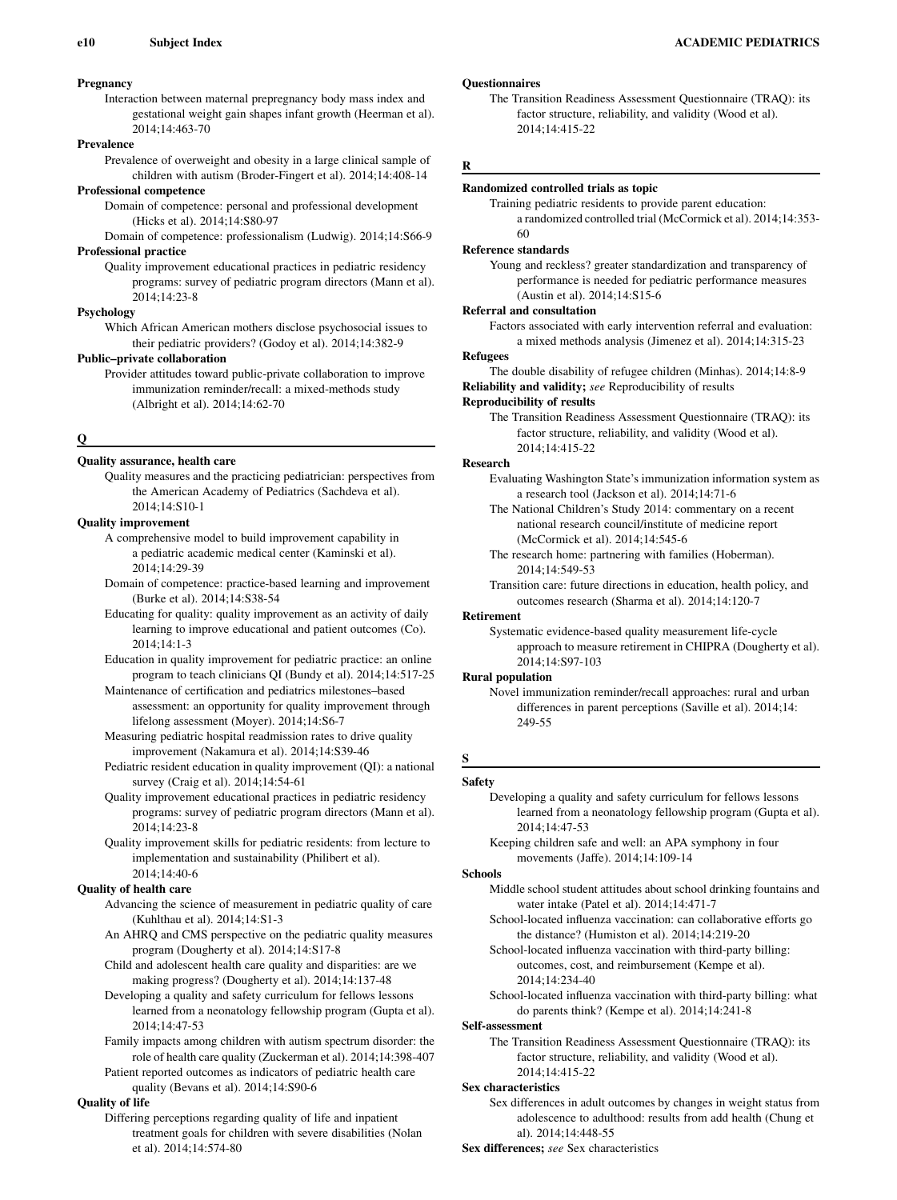## Pregnancy

Interaction between maternal prepregnancy body mass index and gestational weight gain shapes infant growth (Heerman et al). 2014;14:463-70

## Prevalence

Prevalence of overweight and obesity in a large clinical sample of children with autism (Broder-Fingert et al). 2014;14:408-14

#### Professional competence

Domain of competence: personal and professional development (Hicks et al). 2014;14:S80-97

Domain of competence: professionalism (Ludwig). 2014;14:S66-9 Professional practice

Quality improvement educational practices in pediatric residency programs: survey of pediatric program directors (Mann et al).  $2014.14.23 - 8$ 

### Psychology

Which African American mothers disclose psychosocial issues to their pediatric providers? (Godoy et al). 2014;14:382-9

#### Public–private collaboration

Provider attitudes toward public-private collaboration to improve immunization reminder/recall: a mixed-methods study (Albright et al). 2014;14:62-70

### Q

## Quality assurance, health care

Quality measures and the practicing pediatrician: perspectives from the American Academy of Pediatrics (Sachdeva et al). 2014;14:S10-1

#### Quality improvement

- A comprehensive model to build improvement capability in a pediatric academic medical center (Kaminski et al). 2014;14:29-39
- Domain of competence: practice-based learning and improvement (Burke et al). 2014;14:S38-54
- Educating for quality: quality improvement as an activity of daily learning to improve educational and patient outcomes (Co). 2014;14:1-3
- Education in quality improvement for pediatric practice: an online program to teach clinicians QI (Bundy et al). 2014;14:517-25
- Maintenance of certification and pediatrics milestones–based assessment: an opportunity for quality improvement through lifelong assessment (Moyer). 2014;14:S6-7

Measuring pediatric hospital readmission rates to drive quality improvement (Nakamura et al). 2014;14:S39-46

Pediatric resident education in quality improvement (QI): a national survey (Craig et al). 2014;14:54-61

Quality improvement educational practices in pediatric residency programs: survey of pediatric program directors (Mann et al). 2014;14:23-8

Quality improvement skills for pediatric residents: from lecture to implementation and sustainability (Philibert et al). 2014;14:40-6

### Quality of health care

- Advancing the science of measurement in pediatric quality of care (Kuhlthau et al). 2014;14:S1-3
- An AHRQ and CMS perspective on the pediatric quality measures program (Dougherty et al). 2014;14:S17-8
- Child and adolescent health care quality and disparities: are we making progress? (Dougherty et al). 2014;14:137-48
- Developing a quality and safety curriculum for fellows lessons learned from a neonatology fellowship program (Gupta et al). 2014;14:47-53
- Family impacts among children with autism spectrum disorder: the role of health care quality (Zuckerman et al). 2014;14:398-407
- Patient reported outcomes as indicators of pediatric health care quality (Bevans et al). 2014;14:S90-6

### Quality of life

Differing perceptions regarding quality of life and inpatient treatment goals for children with severe disabilities (Nolan et al). 2014;14:574-80

## **Questionnaires**

The Transition Readiness Assessment Questionnaire (TRAQ): its factor structure, reliability, and validity (Wood et al). 2014;14:415-22

### R

## Randomized controlled trials as topic

Training pediatric residents to provide parent education: a randomized controlled trial (McCormick et al). 2014;14:353- 60

#### Reference standards

Young and reckless? greater standardization and transparency of performance is needed for pediatric performance measures (Austin et al). 2014;14:S15-6

#### Referral and consultation

Factors associated with early intervention referral and evaluation: a mixed methods analysis (Jimenez et al). 2014;14:315-23

## Refugees

The double disability of refugee children (Minhas). 2014;14:8-9 Reliability and validity; see Reproducibility of results

#### Reproducibility of results

The Transition Readiness Assessment Questionnaire (TRAQ): its factor structure, reliability, and validity (Wood et al). 2014;14:415-22

#### Research

Evaluating Washington State's immunization information system as a research tool (Jackson et al). 2014;14:71-6

- The National Children's Study 2014: commentary on a recent national research council/institute of medicine report (McCormick et al). 2014;14:545-6
- The research home: partnering with families (Hoberman). 2014;14:549-53
- Transition care: future directions in education, health policy, and outcomes research (Sharma et al). 2014;14:120-7

#### Retirement

Systematic evidence-based quality measurement life-cycle approach to measure retirement in CHIPRA (Dougherty et al). 2014;14:S97-103

### Rural population

Novel immunization reminder/recall approaches: rural and urban differences in parent perceptions (Saville et al). 2014;14: 249-55

## S

## Safety

Developing a quality and safety curriculum for fellows lessons learned from a neonatology fellowship program (Gupta et al). 2014;14:47-53

Keeping children safe and well: an APA symphony in four movements (Jaffe). 2014;14:109-14

#### Schools

- Middle school student attitudes about school drinking fountains and water intake (Patel et al). 2014;14:471-7
- School-located influenza vaccination: can collaborative efforts go the distance? (Humiston et al). 2014;14:219-20

School-located influenza vaccination with third-party billing: outcomes, cost, and reimbursement (Kempe et al). 2014;14:234-40

School-located influenza vaccination with third-party billing: what do parents think? (Kempe et al). 2014;14:241-8

## Self-assessment

The Transition Readiness Assessment Questionnaire (TRAQ): its factor structure, reliability, and validity (Wood et al). 2014;14:415-22

### Sex characteristics

Sex differences in adult outcomes by changes in weight status from adolescence to adulthood: results from add health (Chung et al). 2014;14:448-55

Sex differences; see Sex characteristics